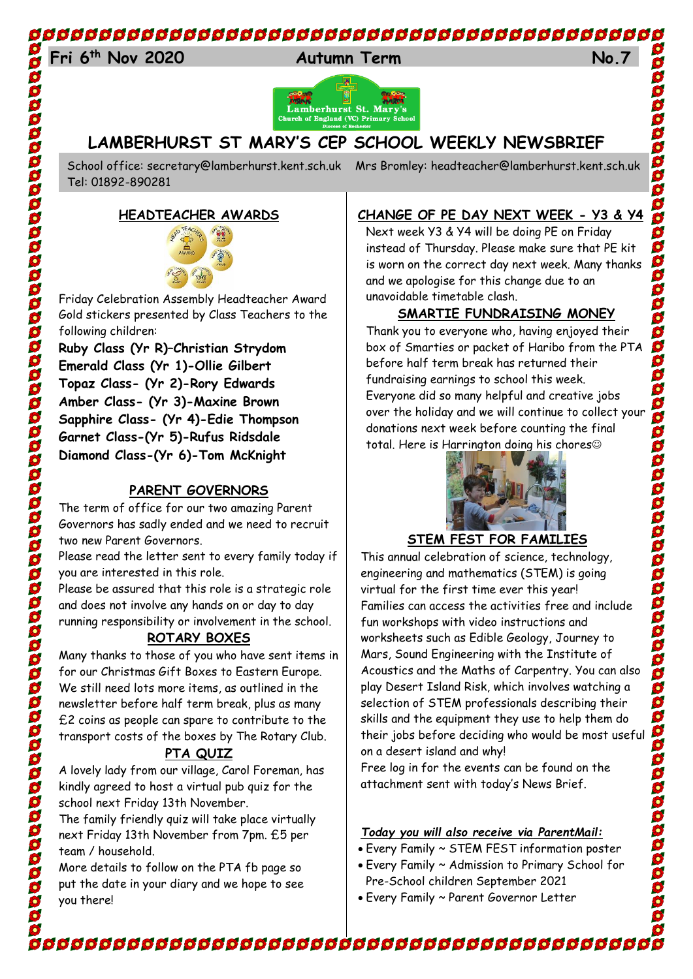# 

# 24 **Fri 6th Nov 2020 Autumn Term No.7**

3888

 $\ddot{\textbf{S}}$ 

888

 $\overline{\mathbf{S}}$ 

30000



## **LAMBERHURST ST MARY'S CEP SCHOOL WEEKLY NEWSBRIEF**

Tel: 01892-890281

School office: [secretary@lamberhurst.kent.sch.uk](mailto:secretary@lamberhurst.kent.sch.uk) Mrs Bromley: headteacher@lamberhurst.kent.sch.uk

#### **HEADTEACHER AWARDS**



Friday Celebration Assembly Headteacher Award Gold stickers presented by Class Teachers to the following children:

**Ruby Class (Yr R)–Christian Strydom Emerald Class (Yr 1)-Ollie Gilbert Topaz Class- (Yr 2)-Rory Edwards Amber Class- (Yr 3)-Maxine Brown Sapphire Class- (Yr 4)-Edie Thompson Garnet Class-(Yr 5)-Rufus Ridsdale Diamond Class-(Yr 6)-Tom McKnight**

#### **PARENT GOVERNORS**

The term of office for our two amazing Parent Governors has sadly ended and we need to recruit two new Parent Governors.

Please read the letter sent to every family today if you are interested in this role.

Please be assured that this role is a strategic role and does not involve any hands on or day to day running responsibility or involvement in the school.

#### **ROTARY BOXES**

Many thanks to those of you who have sent items in for our Christmas Gift Boxes to Eastern Europe. We still need lots more items, as outlined in the newsletter before half term break, plus as many £2 coins as people can spare to contribute to the transport costs of the boxes by The Rotary Club.

### **PTA QUIZ**

A lovely lady from our village, Carol Foreman, has kindly agreed to host a virtual pub quiz for the school next Friday 13th November.

The family friendly quiz will take place virtually next Friday 13th November from 7pm. £5 per team / household.

More details to follow on the PTA fb page so put the date in your diary and we hope to see you there!

#### **CHANGE OF PE DAY NEXT WEEK - Y3 & Y4**

Next week Y3 & Y4 will be doing PE on Friday instead of Thursday. Please make sure that PE kit is worn on the correct day next week. Many thanks and we apologise for this change due to an unavoidable timetable clash.

#### **SMARTIE FUNDRAISING MONEY**

Thank you to everyone who, having enjoyed their box of Smarties or packet of Haribo from the PTA before half term break has returned their fundraising earnings to school this week. Everyone did so many helpful and creative jobs over the holiday and we will continue to collect your donations next week before counting the final total. Here is Harrington doing his chores



#### **STEM FEST FOR FAMILIES**

This annual celebration of science, technology, engineering and mathematics (STEM) is going virtual for the first time ever this year! Families can access the activities free and include fun workshops with video instructions and worksheets such as Edible Geology, Journey to Mars, Sound Engineering with the Institute of Acoustics and the Maths of Carpentry. You can also play Desert Island Risk, which involves watching a selection of STEM professionals describing their skills and the equipment they use to help them do their jobs before deciding who would be most useful on a desert island and why!

Free log in for the events can be found on the attachment sent with today's News Brief.

#### *Today you will also receive via ParentMail:*

- Every Family ~ STEM FEST information poster
- Every Family ~ Admission to Primary School for Pre-School children September 2021
- Every Family ~ Parent Governor Letter